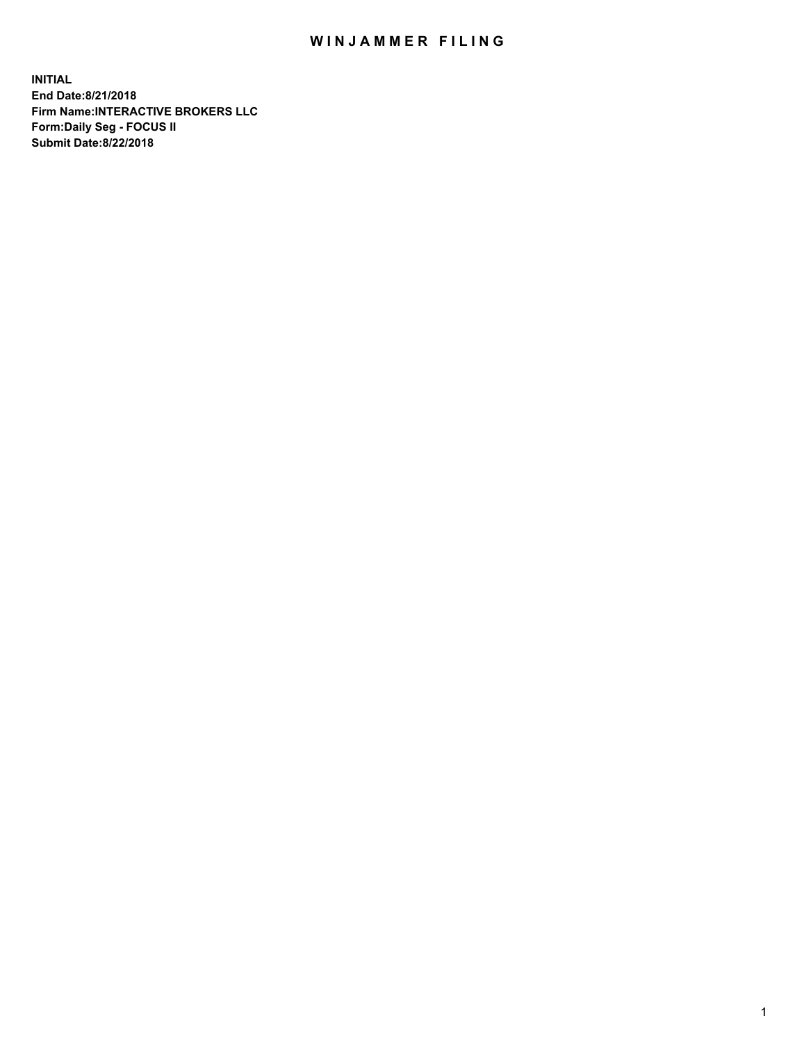## WIN JAMMER FILING

**INITIAL End Date:8/21/2018 Firm Name:INTERACTIVE BROKERS LLC Form:Daily Seg - FOCUS II Submit Date:8/22/2018**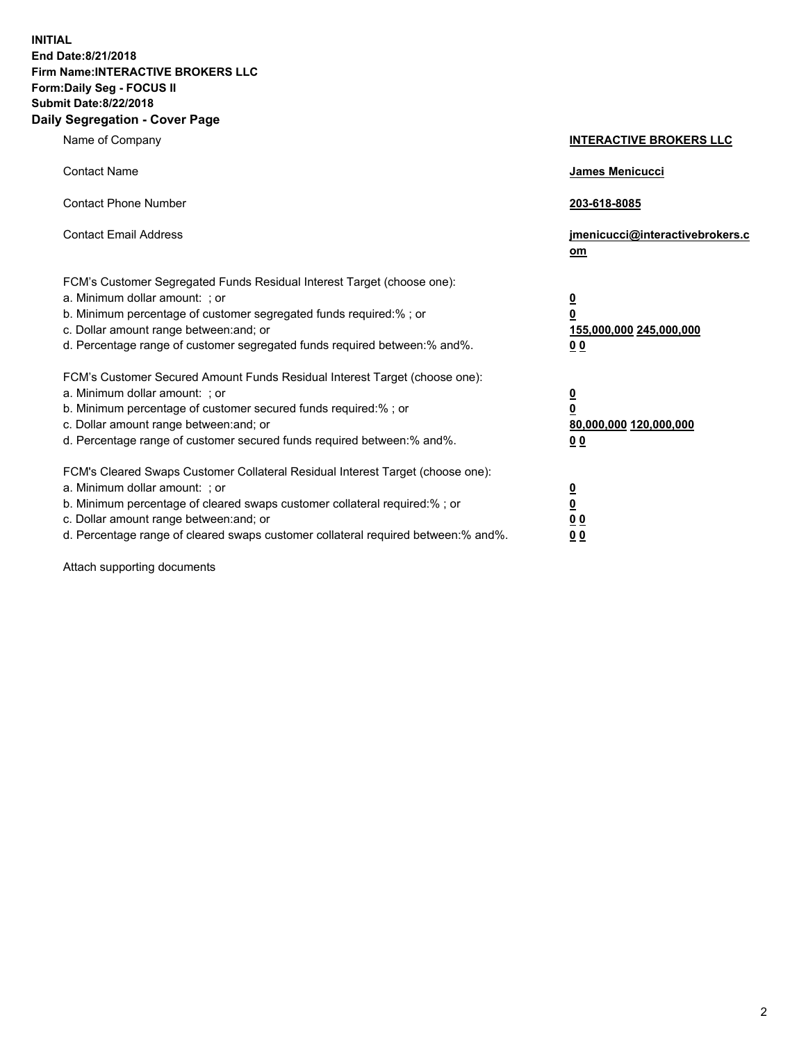**INITIAL End Date:8/21/2018 Firm Name:INTERACTIVE BROKERS LLC Form:Daily Seg - FOCUS II Submit Date:8/22/2018 Daily Segregation - Cover Page**

| Name of Company                                                                                                                                                                                                                                                                                                                | <b>INTERACTIVE BROKERS LLC</b>                                                                 |
|--------------------------------------------------------------------------------------------------------------------------------------------------------------------------------------------------------------------------------------------------------------------------------------------------------------------------------|------------------------------------------------------------------------------------------------|
| <b>Contact Name</b>                                                                                                                                                                                                                                                                                                            | <b>James Menicucci</b>                                                                         |
| <b>Contact Phone Number</b>                                                                                                                                                                                                                                                                                                    | 203-618-8085                                                                                   |
| <b>Contact Email Address</b>                                                                                                                                                                                                                                                                                                   | jmenicucci@interactivebrokers.c<br>om                                                          |
| FCM's Customer Segregated Funds Residual Interest Target (choose one):<br>a. Minimum dollar amount: ; or<br>b. Minimum percentage of customer segregated funds required:% ; or<br>c. Dollar amount range between: and; or<br>d. Percentage range of customer segregated funds required between:% and%.                         | $\overline{\mathbf{0}}$<br>$\overline{\mathbf{0}}$<br>155,000,000 245,000,000<br>00            |
| FCM's Customer Secured Amount Funds Residual Interest Target (choose one):<br>a. Minimum dollar amount: ; or<br>b. Minimum percentage of customer secured funds required:% ; or<br>c. Dollar amount range between: and; or<br>d. Percentage range of customer secured funds required between:% and%.                           | $\overline{\mathbf{0}}$<br>$\overline{\mathbf{0}}$<br>80,000,000 120,000,000<br>0 <sub>0</sub> |
| FCM's Cleared Swaps Customer Collateral Residual Interest Target (choose one):<br>a. Minimum dollar amount: ; or<br>b. Minimum percentage of cleared swaps customer collateral required:% ; or<br>c. Dollar amount range between: and; or<br>d. Percentage range of cleared swaps customer collateral required between:% and%. | $\overline{\mathbf{0}}$<br><u>0</u><br>0 <sub>0</sub><br>00                                    |

Attach supporting documents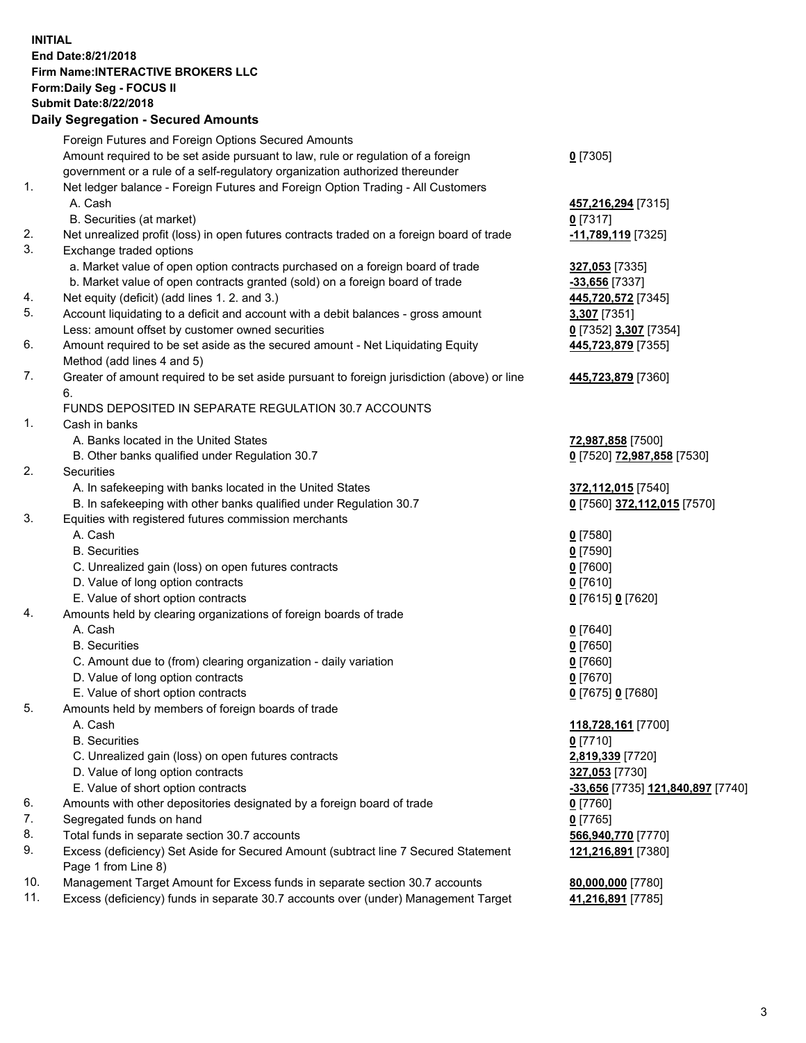## **INITIAL End Date:8/21/2018 Firm Name:INTERACTIVE BROKERS LLC Form:Daily Seg - FOCUS II Submit Date:8/22/2018 Daily Segregation - Secured Amounts**

| Foreign Futures and Foreign Options Secured Amounts                                |                                                                                                                                                                                                                                                                                                                                                                                                                                                                                                                                                                                                                                                                                                                                                                                                                                                                                                                                                                                                                                                                                                                                                                                                                                                                                                                                                                                                                                                                                                                                                                                       |
|------------------------------------------------------------------------------------|---------------------------------------------------------------------------------------------------------------------------------------------------------------------------------------------------------------------------------------------------------------------------------------------------------------------------------------------------------------------------------------------------------------------------------------------------------------------------------------------------------------------------------------------------------------------------------------------------------------------------------------------------------------------------------------------------------------------------------------------------------------------------------------------------------------------------------------------------------------------------------------------------------------------------------------------------------------------------------------------------------------------------------------------------------------------------------------------------------------------------------------------------------------------------------------------------------------------------------------------------------------------------------------------------------------------------------------------------------------------------------------------------------------------------------------------------------------------------------------------------------------------------------------------------------------------------------------|
| Amount required to be set aside pursuant to law, rule or regulation of a foreign   | $0$ [7305]                                                                                                                                                                                                                                                                                                                                                                                                                                                                                                                                                                                                                                                                                                                                                                                                                                                                                                                                                                                                                                                                                                                                                                                                                                                                                                                                                                                                                                                                                                                                                                            |
| government or a rule of a self-regulatory organization authorized thereunder       |                                                                                                                                                                                                                                                                                                                                                                                                                                                                                                                                                                                                                                                                                                                                                                                                                                                                                                                                                                                                                                                                                                                                                                                                                                                                                                                                                                                                                                                                                                                                                                                       |
| Net ledger balance - Foreign Futures and Foreign Option Trading - All Customers    |                                                                                                                                                                                                                                                                                                                                                                                                                                                                                                                                                                                                                                                                                                                                                                                                                                                                                                                                                                                                                                                                                                                                                                                                                                                                                                                                                                                                                                                                                                                                                                                       |
| A. Cash                                                                            | 457,216,294 [7315]                                                                                                                                                                                                                                                                                                                                                                                                                                                                                                                                                                                                                                                                                                                                                                                                                                                                                                                                                                                                                                                                                                                                                                                                                                                                                                                                                                                                                                                                                                                                                                    |
| B. Securities (at market)                                                          | $0$ [7317]                                                                                                                                                                                                                                                                                                                                                                                                                                                                                                                                                                                                                                                                                                                                                                                                                                                                                                                                                                                                                                                                                                                                                                                                                                                                                                                                                                                                                                                                                                                                                                            |
|                                                                                    | -11,789,119 [7325]                                                                                                                                                                                                                                                                                                                                                                                                                                                                                                                                                                                                                                                                                                                                                                                                                                                                                                                                                                                                                                                                                                                                                                                                                                                                                                                                                                                                                                                                                                                                                                    |
|                                                                                    |                                                                                                                                                                                                                                                                                                                                                                                                                                                                                                                                                                                                                                                                                                                                                                                                                                                                                                                                                                                                                                                                                                                                                                                                                                                                                                                                                                                                                                                                                                                                                                                       |
|                                                                                    | 327,053 [7335]                                                                                                                                                                                                                                                                                                                                                                                                                                                                                                                                                                                                                                                                                                                                                                                                                                                                                                                                                                                                                                                                                                                                                                                                                                                                                                                                                                                                                                                                                                                                                                        |
|                                                                                    | $-33,656$ [7337]                                                                                                                                                                                                                                                                                                                                                                                                                                                                                                                                                                                                                                                                                                                                                                                                                                                                                                                                                                                                                                                                                                                                                                                                                                                                                                                                                                                                                                                                                                                                                                      |
|                                                                                    | 445,720,572 [7345]                                                                                                                                                                                                                                                                                                                                                                                                                                                                                                                                                                                                                                                                                                                                                                                                                                                                                                                                                                                                                                                                                                                                                                                                                                                                                                                                                                                                                                                                                                                                                                    |
|                                                                                    | 3,307 [7351]                                                                                                                                                                                                                                                                                                                                                                                                                                                                                                                                                                                                                                                                                                                                                                                                                                                                                                                                                                                                                                                                                                                                                                                                                                                                                                                                                                                                                                                                                                                                                                          |
|                                                                                    | 0 [7352] 3,307 [7354]                                                                                                                                                                                                                                                                                                                                                                                                                                                                                                                                                                                                                                                                                                                                                                                                                                                                                                                                                                                                                                                                                                                                                                                                                                                                                                                                                                                                                                                                                                                                                                 |
|                                                                                    | 445,723,879 [7355]                                                                                                                                                                                                                                                                                                                                                                                                                                                                                                                                                                                                                                                                                                                                                                                                                                                                                                                                                                                                                                                                                                                                                                                                                                                                                                                                                                                                                                                                                                                                                                    |
|                                                                                    |                                                                                                                                                                                                                                                                                                                                                                                                                                                                                                                                                                                                                                                                                                                                                                                                                                                                                                                                                                                                                                                                                                                                                                                                                                                                                                                                                                                                                                                                                                                                                                                       |
|                                                                                    | 445,723,879 [7360]                                                                                                                                                                                                                                                                                                                                                                                                                                                                                                                                                                                                                                                                                                                                                                                                                                                                                                                                                                                                                                                                                                                                                                                                                                                                                                                                                                                                                                                                                                                                                                    |
|                                                                                    |                                                                                                                                                                                                                                                                                                                                                                                                                                                                                                                                                                                                                                                                                                                                                                                                                                                                                                                                                                                                                                                                                                                                                                                                                                                                                                                                                                                                                                                                                                                                                                                       |
| Cash in banks                                                                      |                                                                                                                                                                                                                                                                                                                                                                                                                                                                                                                                                                                                                                                                                                                                                                                                                                                                                                                                                                                                                                                                                                                                                                                                                                                                                                                                                                                                                                                                                                                                                                                       |
| A. Banks located in the United States                                              | 72,987,858 [7500]                                                                                                                                                                                                                                                                                                                                                                                                                                                                                                                                                                                                                                                                                                                                                                                                                                                                                                                                                                                                                                                                                                                                                                                                                                                                                                                                                                                                                                                                                                                                                                     |
|                                                                                    | 0 [7520] 72,987,858 [7530]                                                                                                                                                                                                                                                                                                                                                                                                                                                                                                                                                                                                                                                                                                                                                                                                                                                                                                                                                                                                                                                                                                                                                                                                                                                                                                                                                                                                                                                                                                                                                            |
| Securities                                                                         |                                                                                                                                                                                                                                                                                                                                                                                                                                                                                                                                                                                                                                                                                                                                                                                                                                                                                                                                                                                                                                                                                                                                                                                                                                                                                                                                                                                                                                                                                                                                                                                       |
| A. In safekeeping with banks located in the United States                          | 372,112,015 [7540]                                                                                                                                                                                                                                                                                                                                                                                                                                                                                                                                                                                                                                                                                                                                                                                                                                                                                                                                                                                                                                                                                                                                                                                                                                                                                                                                                                                                                                                                                                                                                                    |
| B. In safekeeping with other banks qualified under Regulation 30.7                 | 0 [7560] 372,112,015 [7570]                                                                                                                                                                                                                                                                                                                                                                                                                                                                                                                                                                                                                                                                                                                                                                                                                                                                                                                                                                                                                                                                                                                                                                                                                                                                                                                                                                                                                                                                                                                                                           |
| Equities with registered futures commission merchants                              |                                                                                                                                                                                                                                                                                                                                                                                                                                                                                                                                                                                                                                                                                                                                                                                                                                                                                                                                                                                                                                                                                                                                                                                                                                                                                                                                                                                                                                                                                                                                                                                       |
| A. Cash                                                                            | $0$ [7580]                                                                                                                                                                                                                                                                                                                                                                                                                                                                                                                                                                                                                                                                                                                                                                                                                                                                                                                                                                                                                                                                                                                                                                                                                                                                                                                                                                                                                                                                                                                                                                            |
| <b>B.</b> Securities                                                               | $0$ [7590]                                                                                                                                                                                                                                                                                                                                                                                                                                                                                                                                                                                                                                                                                                                                                                                                                                                                                                                                                                                                                                                                                                                                                                                                                                                                                                                                                                                                                                                                                                                                                                            |
| C. Unrealized gain (loss) on open futures contracts                                | $0$ [7600]                                                                                                                                                                                                                                                                                                                                                                                                                                                                                                                                                                                                                                                                                                                                                                                                                                                                                                                                                                                                                                                                                                                                                                                                                                                                                                                                                                                                                                                                                                                                                                            |
| D. Value of long option contracts                                                  | $0$ [7610]                                                                                                                                                                                                                                                                                                                                                                                                                                                                                                                                                                                                                                                                                                                                                                                                                                                                                                                                                                                                                                                                                                                                                                                                                                                                                                                                                                                                                                                                                                                                                                            |
| E. Value of short option contracts                                                 | 0 [7615] 0 [7620]                                                                                                                                                                                                                                                                                                                                                                                                                                                                                                                                                                                                                                                                                                                                                                                                                                                                                                                                                                                                                                                                                                                                                                                                                                                                                                                                                                                                                                                                                                                                                                     |
|                                                                                    |                                                                                                                                                                                                                                                                                                                                                                                                                                                                                                                                                                                                                                                                                                                                                                                                                                                                                                                                                                                                                                                                                                                                                                                                                                                                                                                                                                                                                                                                                                                                                                                       |
|                                                                                    | $0$ [7640]                                                                                                                                                                                                                                                                                                                                                                                                                                                                                                                                                                                                                                                                                                                                                                                                                                                                                                                                                                                                                                                                                                                                                                                                                                                                                                                                                                                                                                                                                                                                                                            |
|                                                                                    | $0$ [7650]                                                                                                                                                                                                                                                                                                                                                                                                                                                                                                                                                                                                                                                                                                                                                                                                                                                                                                                                                                                                                                                                                                                                                                                                                                                                                                                                                                                                                                                                                                                                                                            |
|                                                                                    | $0$ [7660]                                                                                                                                                                                                                                                                                                                                                                                                                                                                                                                                                                                                                                                                                                                                                                                                                                                                                                                                                                                                                                                                                                                                                                                                                                                                                                                                                                                                                                                                                                                                                                            |
|                                                                                    | $0$ [7670]                                                                                                                                                                                                                                                                                                                                                                                                                                                                                                                                                                                                                                                                                                                                                                                                                                                                                                                                                                                                                                                                                                                                                                                                                                                                                                                                                                                                                                                                                                                                                                            |
|                                                                                    | 0 [7675] 0 [7680]                                                                                                                                                                                                                                                                                                                                                                                                                                                                                                                                                                                                                                                                                                                                                                                                                                                                                                                                                                                                                                                                                                                                                                                                                                                                                                                                                                                                                                                                                                                                                                     |
|                                                                                    |                                                                                                                                                                                                                                                                                                                                                                                                                                                                                                                                                                                                                                                                                                                                                                                                                                                                                                                                                                                                                                                                                                                                                                                                                                                                                                                                                                                                                                                                                                                                                                                       |
|                                                                                    | 118,728,161 [7700]                                                                                                                                                                                                                                                                                                                                                                                                                                                                                                                                                                                                                                                                                                                                                                                                                                                                                                                                                                                                                                                                                                                                                                                                                                                                                                                                                                                                                                                                                                                                                                    |
|                                                                                    | $0$ [7710]                                                                                                                                                                                                                                                                                                                                                                                                                                                                                                                                                                                                                                                                                                                                                                                                                                                                                                                                                                                                                                                                                                                                                                                                                                                                                                                                                                                                                                                                                                                                                                            |
|                                                                                    | 2,819,339 [7720]                                                                                                                                                                                                                                                                                                                                                                                                                                                                                                                                                                                                                                                                                                                                                                                                                                                                                                                                                                                                                                                                                                                                                                                                                                                                                                                                                                                                                                                                                                                                                                      |
|                                                                                    | 327,053 [7730]                                                                                                                                                                                                                                                                                                                                                                                                                                                                                                                                                                                                                                                                                                                                                                                                                                                                                                                                                                                                                                                                                                                                                                                                                                                                                                                                                                                                                                                                                                                                                                        |
|                                                                                    | <u>-33,656 [</u> 7735] <u>121,840,897</u> [7740]                                                                                                                                                                                                                                                                                                                                                                                                                                                                                                                                                                                                                                                                                                                                                                                                                                                                                                                                                                                                                                                                                                                                                                                                                                                                                                                                                                                                                                                                                                                                      |
|                                                                                    | 0 [7760]                                                                                                                                                                                                                                                                                                                                                                                                                                                                                                                                                                                                                                                                                                                                                                                                                                                                                                                                                                                                                                                                                                                                                                                                                                                                                                                                                                                                                                                                                                                                                                              |
|                                                                                    | $0$ [7765]                                                                                                                                                                                                                                                                                                                                                                                                                                                                                                                                                                                                                                                                                                                                                                                                                                                                                                                                                                                                                                                                                                                                                                                                                                                                                                                                                                                                                                                                                                                                                                            |
|                                                                                    | 566,940,770 [7770]                                                                                                                                                                                                                                                                                                                                                                                                                                                                                                                                                                                                                                                                                                                                                                                                                                                                                                                                                                                                                                                                                                                                                                                                                                                                                                                                                                                                                                                                                                                                                                    |
| Page 1 from Line 8)                                                                | 121,216,891 [7380]                                                                                                                                                                                                                                                                                                                                                                                                                                                                                                                                                                                                                                                                                                                                                                                                                                                                                                                                                                                                                                                                                                                                                                                                                                                                                                                                                                                                                                                                                                                                                                    |
| Management Target Amount for Excess funds in separate section 30.7 accounts        | 80,000,000 [7780]                                                                                                                                                                                                                                                                                                                                                                                                                                                                                                                                                                                                                                                                                                                                                                                                                                                                                                                                                                                                                                                                                                                                                                                                                                                                                                                                                                                                                                                                                                                                                                     |
| Excess (deficiency) funds in separate 30.7 accounts over (under) Management Target | 41,216,891 [7785]                                                                                                                                                                                                                                                                                                                                                                                                                                                                                                                                                                                                                                                                                                                                                                                                                                                                                                                                                                                                                                                                                                                                                                                                                                                                                                                                                                                                                                                                                                                                                                     |
|                                                                                    | Daily Segregation - Secured Amounts<br>Net unrealized profit (loss) in open futures contracts traded on a foreign board of trade<br>Exchange traded options<br>a. Market value of open option contracts purchased on a foreign board of trade<br>b. Market value of open contracts granted (sold) on a foreign board of trade<br>Net equity (deficit) (add lines 1. 2. and 3.)<br>Account liquidating to a deficit and account with a debit balances - gross amount<br>Less: amount offset by customer owned securities<br>Amount required to be set aside as the secured amount - Net Liquidating Equity<br>Method (add lines 4 and 5)<br>Greater of amount required to be set aside pursuant to foreign jurisdiction (above) or line<br>6.<br>FUNDS DEPOSITED IN SEPARATE REGULATION 30.7 ACCOUNTS<br>B. Other banks qualified under Regulation 30.7<br>Amounts held by clearing organizations of foreign boards of trade<br>A. Cash<br><b>B.</b> Securities<br>C. Amount due to (from) clearing organization - daily variation<br>D. Value of long option contracts<br>E. Value of short option contracts<br>Amounts held by members of foreign boards of trade<br>A. Cash<br><b>B.</b> Securities<br>C. Unrealized gain (loss) on open futures contracts<br>D. Value of long option contracts<br>E. Value of short option contracts<br>Amounts with other depositories designated by a foreign board of trade<br>Segregated funds on hand<br>Total funds in separate section 30.7 accounts<br>Excess (deficiency) Set Aside for Secured Amount (subtract line 7 Secured Statement |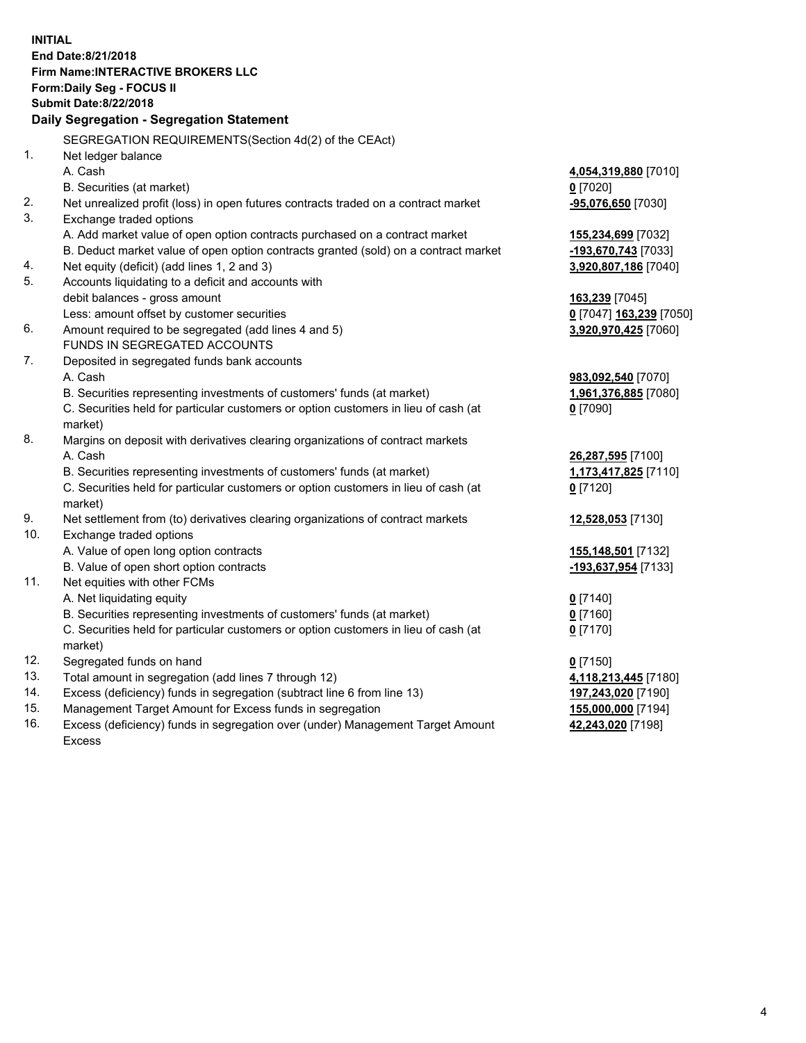**INITIAL End Date:8/21/2018 Firm Name:INTERACTIVE BROKERS LLC Form:Daily Seg - FOCUS II Submit Date:8/22/2018 Daily Segregation - Segregation Statement** SEGREGATION REQUIREMENTS(Section 4d(2) of the CEAct) 1. Net ledger balance A. Cash **4,054,319,880** [7010] B. Securities (at market) **0** [7020] 2. Net unrealized profit (loss) in open futures contracts traded on a contract market **-95,076,650** [7030] 3. Exchange traded options A. Add market value of open option contracts purchased on a contract market **155,234,699** [7032] B. Deduct market value of open option contracts granted (sold) on a contract market **-193,670,743** [7033] 4. Net equity (deficit) (add lines 1, 2 and 3) **3,920,807,186** [7040] 5. Accounts liquidating to a deficit and accounts with debit balances - gross amount **163,239** [7045] Less: amount offset by customer securities **0** [7047] **163,239** [7050] 6. Amount required to be segregated (add lines 4 and 5) **3,920,970,425** [7060] FUNDS IN SEGREGATED ACCOUNTS 7. Deposited in segregated funds bank accounts A. Cash **983,092,540** [7070] B. Securities representing investments of customers' funds (at market) **1,961,376,885** [7080] C. Securities held for particular customers or option customers in lieu of cash (at market) **0** [7090] 8. Margins on deposit with derivatives clearing organizations of contract markets A. Cash **26,287,595** [7100] B. Securities representing investments of customers' funds (at market) **1,173,417,825** [7110] C. Securities held for particular customers or option customers in lieu of cash (at market) **0** [7120] 9. Net settlement from (to) derivatives clearing organizations of contract markets **12,528,053** [7130] 10. Exchange traded options A. Value of open long option contracts **155,148,501** [7132] B. Value of open short option contracts **-193,637,954** [7133] 11. Net equities with other FCMs A. Net liquidating equity **0** [7140] B. Securities representing investments of customers' funds (at market) **0** [7160] C. Securities held for particular customers or option customers in lieu of cash (at market) **0** [7170] 12. Segregated funds on hand **0** [7150] 13. Total amount in segregation (add lines 7 through 12) **4,118,213,445** [7180] 14. Excess (deficiency) funds in segregation (subtract line 6 from line 13) **197,243,020** [7190] 15. Management Target Amount for Excess funds in segregation **155,000,000** [7194] **42,243,020** [7198]

16. Excess (deficiency) funds in segregation over (under) Management Target Amount Excess